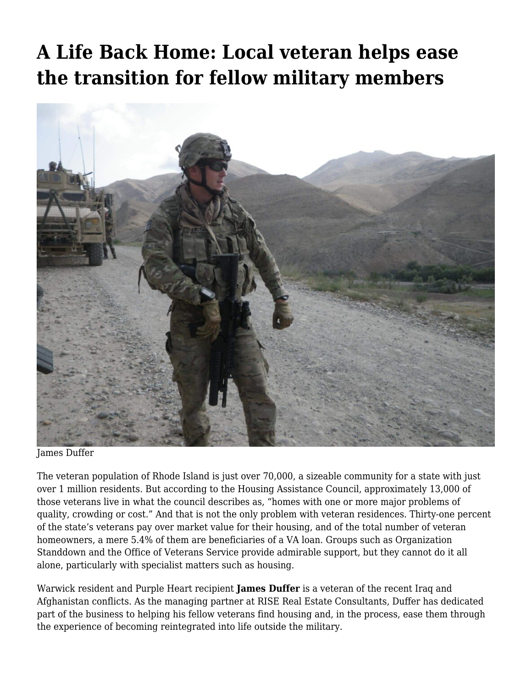## **[A Life Back Home: Local veteran helps ease](https://motifri.com/vethelpsvets/) [the transition for fellow military members](https://motifri.com/vethelpsvets/)**



James Duffer

The veteran population of Rhode Island is just over 70,000, a sizeable community for a state with just over 1 million residents. But according to the Housing Assistance Council, approximately 13,000 of those veterans live in what the council describes as, "homes with one or more major problems of quality, crowding or cost." And that is not the only problem with veteran residences. Thirty-one percent of the state's veterans pay over market value for their housing, and of the total number of veteran homeowners, a mere 5.4% of them are beneficiaries of a VA loan. Groups such as Organization Standdown and the Office of Veterans Service provide admirable support, but they cannot do it all alone, particularly with specialist matters such as housing.

Warwick resident and Purple Heart recipient **James Duffer** is a veteran of the recent Iraq and Afghanistan conflicts. As the managing partner at RISE Real Estate Consultants, Duffer has dedicated part of the business to helping his fellow veterans find housing and, in the process, ease them through the experience of becoming reintegrated into life outside the military.